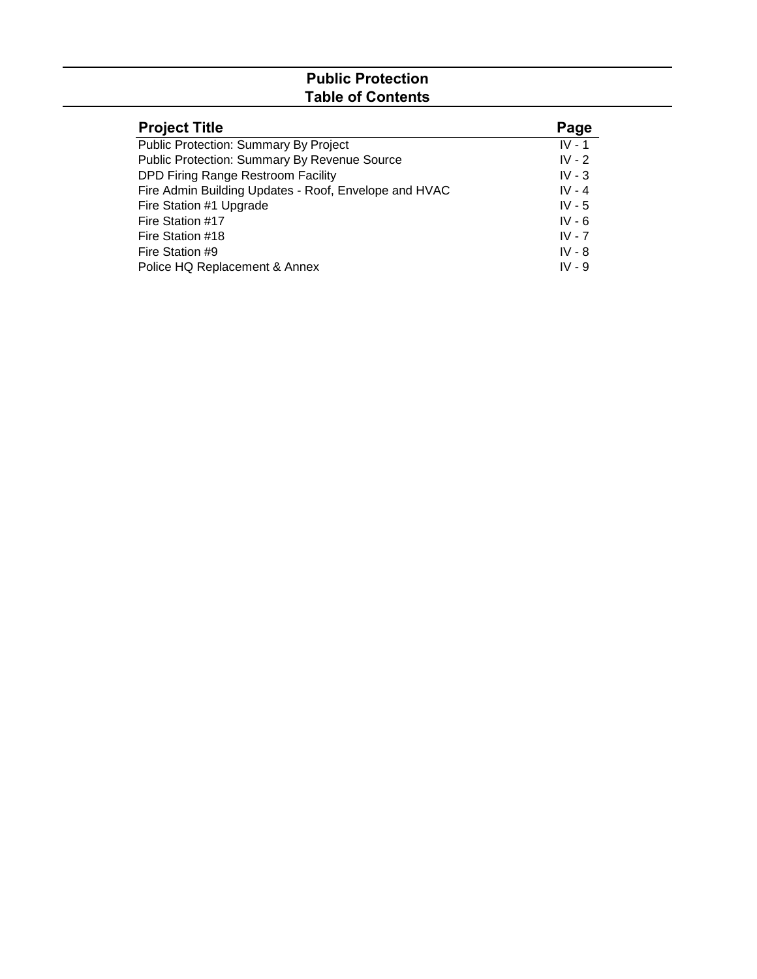# **Public Protection Table of Contents**

| <b>Project Title</b>                                  | Page     |
|-------------------------------------------------------|----------|
| Public Protection: Summary By Project                 | $IV - 1$ |
| <b>Public Protection: Summary By Revenue Source</b>   | $IV - 2$ |
| DPD Firing Range Restroom Facility                    | IV - $3$ |
| Fire Admin Building Updates - Roof, Envelope and HVAC | $IV - 4$ |
| Fire Station #1 Upgrade                               | IV - $5$ |
| Fire Station #17                                      | $IV - 6$ |
| Fire Station #18                                      | $IV - 7$ |
| Fire Station #9                                       | $IV - 8$ |
| Police HQ Replacement & Annex                         | $IV - 9$ |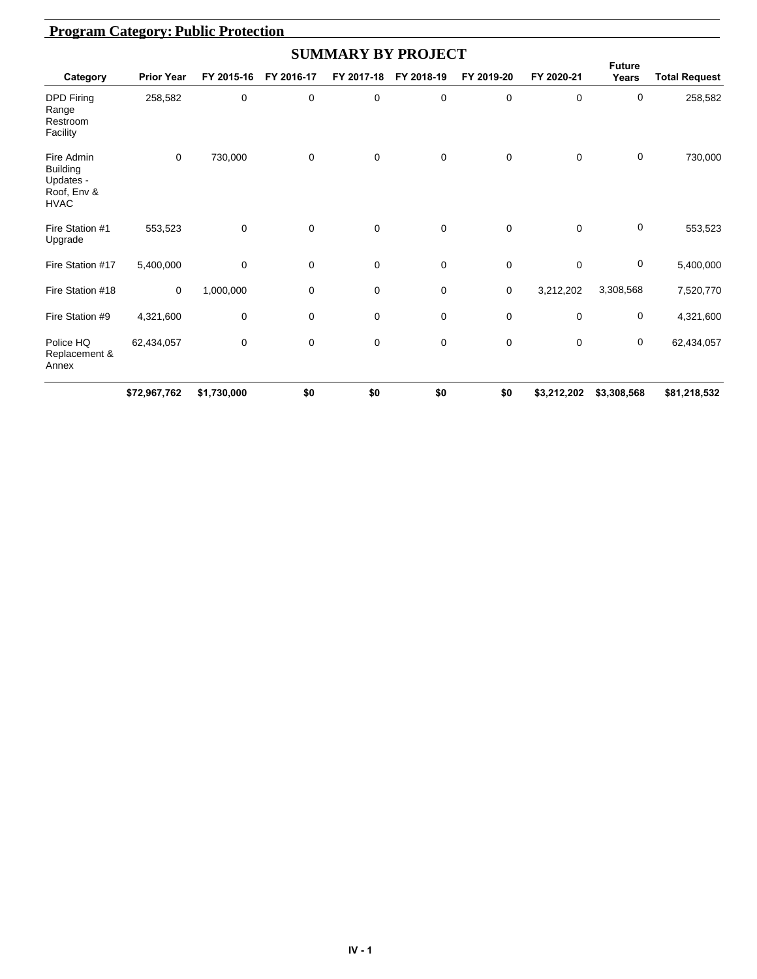|                                                                          |                   |             |             | <b>SUMMARY BY PROJECT</b> |             |             |             |                        |                      |
|--------------------------------------------------------------------------|-------------------|-------------|-------------|---------------------------|-------------|-------------|-------------|------------------------|----------------------|
| Category                                                                 | <b>Prior Year</b> | FY 2015-16  | FY 2016-17  | FY 2017-18                | FY 2018-19  | FY 2019-20  | FY 2020-21  | <b>Future</b><br>Years | <b>Total Request</b> |
| <b>DPD Firing</b><br>Range<br>Restroom<br>Facility                       | 258,582           | 0           | 0           | 0                         | 0           | 0           | 0           | 0                      | 258,582              |
| Fire Admin<br><b>Building</b><br>Updates -<br>Roof, Env &<br><b>HVAC</b> | $\mathbf 0$       | 730,000     | $\mathbf 0$ | $\mathbf 0$               | 0           | 0           | $\mathbf 0$ | 0                      | 730,000              |
| Fire Station #1<br>Upgrade                                               | 553,523           | 0           | $\mathbf 0$ | $\mathbf 0$               | 0           | $\mathbf 0$ | $\Omega$    | 0                      | 553,523              |
| Fire Station #17                                                         | 5,400,000         | 0           | 0           | 0                         | 0           | 0           | $\mathbf 0$ | 0                      | 5,400,000            |
| Fire Station #18                                                         | $\mathbf 0$       | 1,000,000   | 0           | 0                         | 0           | 0           | 3,212,202   | 3,308,568              | 7,520,770            |
| Fire Station #9                                                          | 4,321,600         | $\mathbf 0$ | 0           | 0                         | $\mathbf 0$ | 0           | $\mathbf 0$ | $\mathbf 0$            | 4,321,600            |
| Police HQ<br>Replacement &<br>Annex                                      | 62,434,057        | 0           | 0           | 0                         | 0           | 0           | $\mathbf 0$ | 0                      | 62,434,057           |
|                                                                          | \$72,967,762      | \$1,730,000 | \$0         | \$0                       | \$0         | \$0         | \$3,212,202 | \$3,308,568            | \$81,218,532         |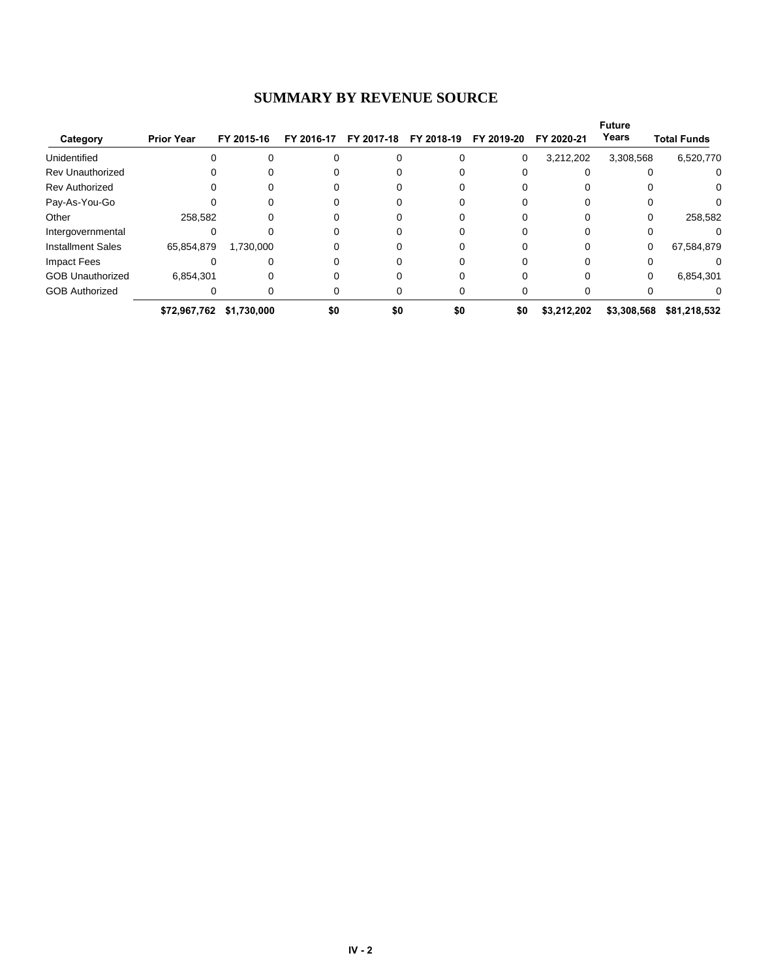#### **SUMMARY BY REVENUE SOURCE**

|                          |                   |             |            |            |            |            |             | <b>Future</b> |                    |
|--------------------------|-------------------|-------------|------------|------------|------------|------------|-------------|---------------|--------------------|
| Category                 | <b>Prior Year</b> | FY 2015-16  | FY 2016-17 | FY 2017-18 | FY 2018-19 | FY 2019-20 | FY 2020-21  | Years         | <b>Total Funds</b> |
| Unidentified             |                   |             |            |            |            | 0          | 3,212,202   | 3,308,568     | 6,520,770          |
| <b>Rev Unauthorized</b>  |                   |             |            |            |            |            |             |               | 0                  |
| <b>Rev Authorized</b>    |                   |             |            |            |            |            |             |               | 0                  |
| Pay-As-You-Go            |                   |             |            |            |            |            |             |               |                    |
| Other                    | 258,582           |             |            |            |            |            |             |               | 258,582            |
| Intergovernmental        |                   |             |            |            |            |            |             |               |                    |
| <b>Installment Sales</b> | 65,854,879        | 1,730,000   |            |            |            |            | $\Omega$    | 0             | 67,584,879         |
| Impact Fees              |                   |             |            |            |            |            |             |               |                    |
| <b>GOB Unauthorized</b>  | 6,854,301         |             |            |            |            |            |             | 0             | 6,854,301          |
| <b>GOB Authorized</b>    |                   |             |            |            |            |            |             |               |                    |
|                          | \$72,967,762      | \$1,730,000 | \$0        | \$0        | \$0        | \$0        | \$3,212,202 | \$3,308,568   | \$81,218,532       |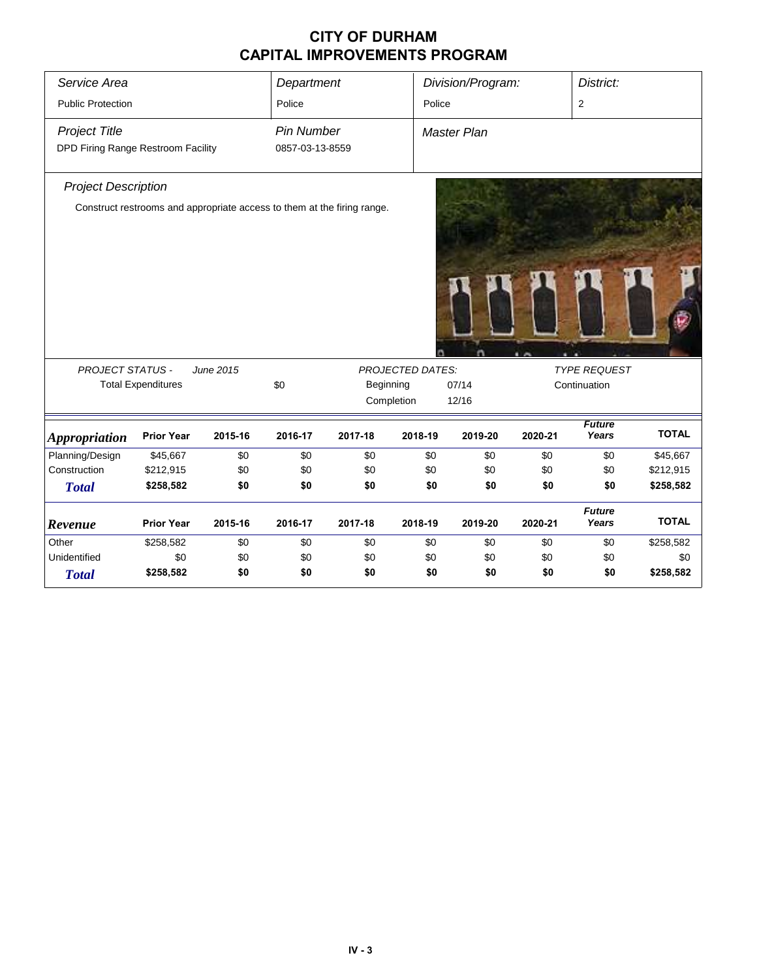| Service Area                       |                                                                         |           | Department        |         |                         | Division/Program:  |         | District:              |              |  |
|------------------------------------|-------------------------------------------------------------------------|-----------|-------------------|---------|-------------------------|--------------------|---------|------------------------|--------------|--|
| <b>Public Protection</b>           |                                                                         |           | Police            |         | Police                  |                    |         | 2                      |              |  |
|                                    |                                                                         |           |                   |         |                         |                    |         |                        |              |  |
| <b>Project Title</b>               |                                                                         |           | <b>Pin Number</b> |         |                         | <b>Master Plan</b> |         |                        |              |  |
| DPD Firing Range Restroom Facility |                                                                         |           | 0857-03-13-8559   |         |                         |                    |         |                        |              |  |
| <b>Project Description</b>         |                                                                         |           |                   |         |                         |                    |         |                        |              |  |
|                                    | Construct restrooms and appropriate access to them at the firing range. |           |                   |         |                         |                    |         |                        |              |  |
|                                    |                                                                         |           |                   |         |                         |                    |         |                        |              |  |
|                                    |                                                                         |           |                   |         |                         |                    |         |                        |              |  |
|                                    |                                                                         |           |                   |         |                         |                    |         |                        |              |  |
|                                    |                                                                         |           |                   |         |                         |                    |         |                        |              |  |
|                                    |                                                                         |           |                   |         |                         |                    |         |                        |              |  |
| <b>PROJECT STATUS -</b>            |                                                                         | June 2015 |                   |         | <b>PROJECTED DATES:</b> |                    |         | <b>TYPE REQUEST</b>    |              |  |
|                                    | <b>Total Expenditures</b>                                               |           | \$0               |         | Beginning               | 07/14              |         | Continuation           |              |  |
|                                    |                                                                         |           |                   |         | Completion              | 12/16              |         |                        |              |  |
| <b>Appropriation</b>               | <b>Prior Year</b>                                                       | 2015-16   | 2016-17           | 2017-18 | 2018-19                 | 2019-20            | 2020-21 | <b>Future</b><br>Years | <b>TOTAL</b> |  |
| Planning/Design                    | \$45,667                                                                | \$0       | \$0               | \$0     | \$0                     | \$0                | \$0     | \$0                    | \$45,667     |  |
| Construction                       | \$212,915                                                               | \$0       | \$0               | \$0     | \$0                     | \$0                | \$0     | \$0                    | \$212,915    |  |
| <b>Total</b>                       | \$258,582                                                               | \$0       | \$0               | \$0     | \$0                     | \$0                | \$0     | \$0                    | \$258,582    |  |
| Revenue                            | <b>Prior Year</b>                                                       | 2015-16   | 2016-17           | 2017-18 | 2018-19                 | 2019-20            | 2020-21 | <b>Future</b><br>Years | <b>TOTAL</b> |  |
| Other                              | \$258,582                                                               | \$0       | \$0               | \$0     | \$0                     | \$0                | \$0     | \$0                    | \$258,582    |  |
| Unidentified                       | \$0                                                                     | \$0       | \$0               | \$0     | \$0                     | \$0                | \$0     | \$0                    | \$0          |  |
| <b>Total</b>                       | \$258,582                                                               | \$0       | \$0               | \$0     | \$0                     | \$0                | \$0     | \$0                    | \$258,582    |  |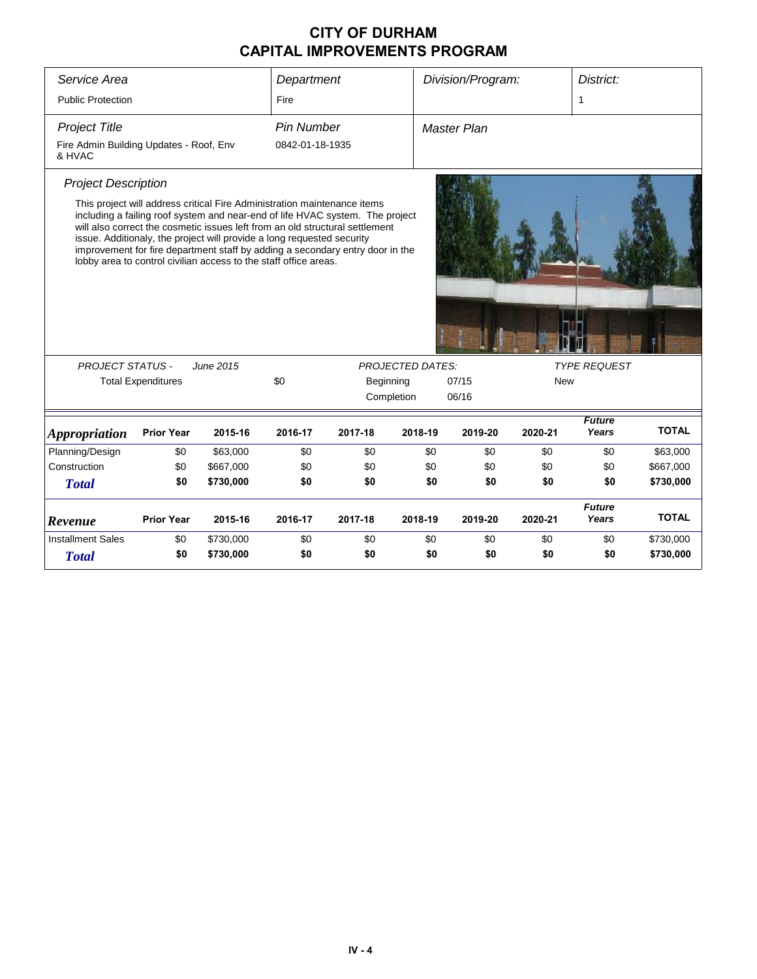| Service Area                                      |                           |                                                                                                                                                                                                                                                                                                                                                                                                                                                                                       | Department        |         |                                      | Division/Program:  |            | District:              |              |  |
|---------------------------------------------------|---------------------------|---------------------------------------------------------------------------------------------------------------------------------------------------------------------------------------------------------------------------------------------------------------------------------------------------------------------------------------------------------------------------------------------------------------------------------------------------------------------------------------|-------------------|---------|--------------------------------------|--------------------|------------|------------------------|--------------|--|
| <b>Public Protection</b>                          |                           |                                                                                                                                                                                                                                                                                                                                                                                                                                                                                       | Fire              |         |                                      |                    |            | 1                      |              |  |
| <b>Project Title</b>                              |                           |                                                                                                                                                                                                                                                                                                                                                                                                                                                                                       | <b>Pin Number</b> |         |                                      | <b>Master Plan</b> |            |                        |              |  |
| Fire Admin Building Updates - Roof, Env<br>& HVAC |                           |                                                                                                                                                                                                                                                                                                                                                                                                                                                                                       | 0842-01-18-1935   |         |                                      |                    |            |                        |              |  |
| <b>Project Description</b>                        |                           |                                                                                                                                                                                                                                                                                                                                                                                                                                                                                       |                   |         |                                      |                    |            |                        |              |  |
| <b>PROJECT STATUS -</b>                           | <b>Total Expenditures</b> | This project will address critical Fire Administration maintenance items<br>including a failing roof system and near-end of life HVAC system. The project<br>will also correct the cosmetic issues left from an old structural settlement<br>issue. Additionaly, the project will provide a long requested security<br>improvement for fire department staff by adding a secondary entry door in the<br>lobby area to control civilian access to the staff office areas.<br>June 2015 | \$0               |         | <b>PROJECTED DATES:</b><br>Beginning | 07/15              | <b>New</b> | <b>TYPE REQUEST</b>    |              |  |
|                                                   |                           |                                                                                                                                                                                                                                                                                                                                                                                                                                                                                       |                   |         | 06/16<br>Completion                  |                    |            |                        |              |  |
| <b>Appropriation</b>                              | <b>Prior Year</b>         | 2015-16                                                                                                                                                                                                                                                                                                                                                                                                                                                                               | 2016-17           | 2017-18 | 2018-19                              | 2019-20            | 2020-21    | <b>Future</b><br>Years | <b>TOTAL</b> |  |
| Planning/Design                                   | \$0                       | \$63,000                                                                                                                                                                                                                                                                                                                                                                                                                                                                              | \$0               | \$0     | \$0                                  | \$0                | \$0        | \$0                    | \$63,000     |  |
| Construction                                      | \$0                       | \$667,000                                                                                                                                                                                                                                                                                                                                                                                                                                                                             | \$0               | \$0     | \$0                                  | \$0                | \$0        | \$0                    | \$667,000    |  |
| <b>Total</b>                                      | \$0                       | \$730,000                                                                                                                                                                                                                                                                                                                                                                                                                                                                             | \$0               | \$0     | \$0                                  | \$0                | \$0        | \$0                    | \$730,000    |  |
| Revenue                                           | <b>Prior Year</b>         | 2015-16                                                                                                                                                                                                                                                                                                                                                                                                                                                                               | 2016-17           | 2017-18 | 2018-19                              | 2019-20            | 2020-21    | <b>Future</b><br>Years | <b>TOTAL</b> |  |
| <b>Installment Sales</b>                          | \$0                       | \$730,000                                                                                                                                                                                                                                                                                                                                                                                                                                                                             | \$0               | \$0     | \$0                                  | \$0                | \$0        | \$0                    | \$730,000    |  |
| <b>Total</b>                                      | \$0                       | \$730,000                                                                                                                                                                                                                                                                                                                                                                                                                                                                             | \$0               | \$0     | \$0                                  | \$0                | \$0        | \$0                    | \$730,000    |  |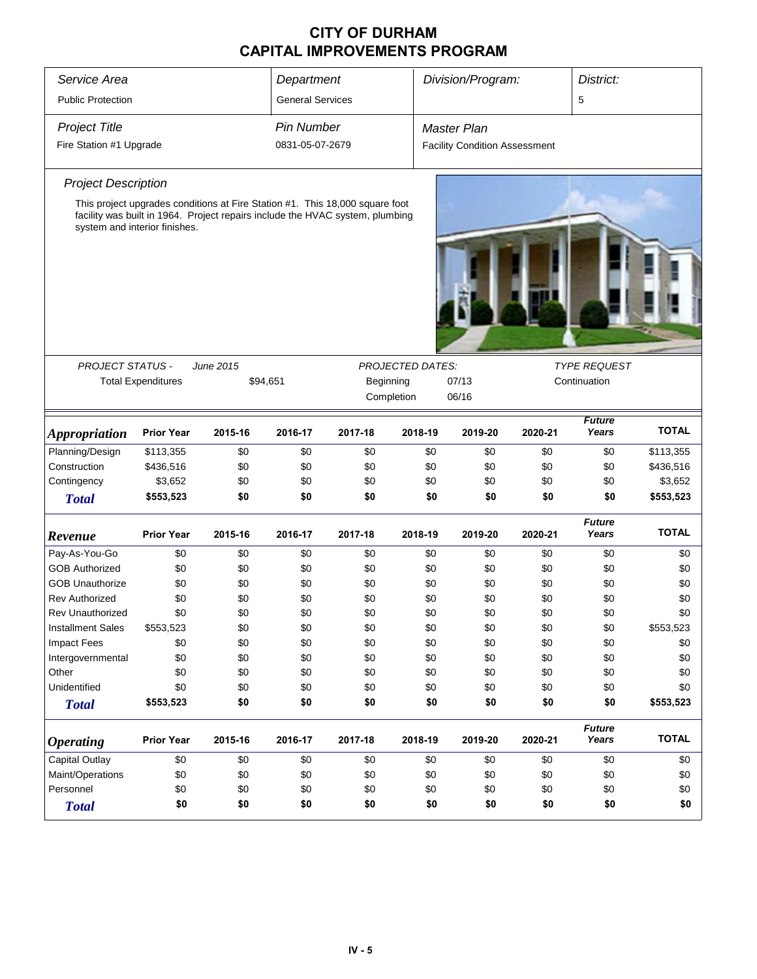| Service Area<br><b>Public Protection</b>                                                                                                                                                                                             | Department<br><b>General Services</b>                                                 |                                                                                                                                                               |                                                                           | Division/Program:                                                         |                                                                           | District:<br>5                                                            |                                                                           |                                                                           |                                                                                       |  |
|--------------------------------------------------------------------------------------------------------------------------------------------------------------------------------------------------------------------------------------|---------------------------------------------------------------------------------------|---------------------------------------------------------------------------------------------------------------------------------------------------------------|---------------------------------------------------------------------------|---------------------------------------------------------------------------|---------------------------------------------------------------------------|---------------------------------------------------------------------------|---------------------------------------------------------------------------|---------------------------------------------------------------------------|---------------------------------------------------------------------------------------|--|
| <b>Project Title</b><br>Fire Station #1 Upgrade                                                                                                                                                                                      |                                                                                       |                                                                                                                                                               | <b>Pin Number</b><br>0831-05-07-2679                                      |                                                                           |                                                                           | Master Plan<br><b>Facility Condition Assessment</b>                       |                                                                           |                                                                           |                                                                                       |  |
| <b>Project Description</b><br>system and interior finishes.                                                                                                                                                                          |                                                                                       | This project upgrades conditions at Fire Station #1. This 18,000 square foot<br>facility was built in 1964. Project repairs include the HVAC system, plumbing |                                                                           |                                                                           |                                                                           |                                                                           |                                                                           |                                                                           |                                                                                       |  |
| <b>PROJECT STATUS -</b><br>June 2015<br><b>Total Expenditures</b>                                                                                                                                                                    |                                                                                       | \$94,651                                                                                                                                                      | <b>PROJECTED DATES:</b><br>Beginning<br>Completion                        |                                                                           |                                                                           | 07/13<br>06/16                                                            |                                                                           | <b>TYPE REQUEST</b><br>Continuation                                       |                                                                                       |  |
| <i><b>Appropriation</b></i>                                                                                                                                                                                                          | <b>Prior Year</b>                                                                     | 2015-16                                                                                                                                                       | 2016-17                                                                   | 2017-18                                                                   | 2018-19                                                                   | 2019-20                                                                   | 2020-21                                                                   | <b>Future</b><br>Years                                                    | <b>TOTAL</b>                                                                          |  |
| Planning/Design<br>Construction<br>Contingency<br><b>Total</b>                                                                                                                                                                       | \$113,355<br>\$436,516<br>\$3,652<br>\$553,523                                        | \$0<br>\$0<br>\$0<br>\$0                                                                                                                                      | \$0<br>\$0<br>\$0<br>\$0                                                  | \$0<br>\$0<br>\$0<br>\$0                                                  | \$0<br>\$0<br>\$0<br>\$0                                                  | \$0<br>\$0<br>\$0<br>\$0                                                  | \$0<br>\$0<br>\$0<br>\$0                                                  | \$0<br>\$0<br>\$0<br>\$0                                                  | \$113,355<br>\$436,516<br>\$3,652<br>\$553,523                                        |  |
| Revenue                                                                                                                                                                                                                              | <b>Prior Year</b>                                                                     | 2015-16                                                                                                                                                       | 2016-17                                                                   | 2017-18                                                                   | 2018-19                                                                   | 2019-20                                                                   | 2020-21                                                                   | <b>Future</b><br>Years                                                    | <b>TOTAL</b>                                                                          |  |
| Pay-As-You-Go<br><b>GOB Authorized</b><br><b>GOB Unauthorize</b><br><b>Rev Authorized</b><br><b>Rev Unauthorized</b><br><b>Installment Sales</b><br><b>Impact Fees</b><br>Intergovernmental<br>Other<br>Unidentified<br><b>Total</b> | \$0<br>\$0<br>\$0<br>\$0<br>\$0<br>\$553,523<br>\$0<br>\$0<br>\$0<br>\$0<br>\$553,523 | \$0<br>\$0<br>\$0<br>\$0<br>\$0<br>\$0<br>\$0<br>\$0<br>\$0<br>\$0<br>\$0                                                                                     | \$0<br>\$0<br>\$0<br>\$0<br>\$0<br>\$0<br>\$0<br>\$0<br>\$0<br>\$0<br>\$0 | \$0<br>\$0<br>\$0<br>\$0<br>\$0<br>\$0<br>\$0<br>\$0<br>\$0<br>\$0<br>\$0 | \$0<br>\$0<br>\$0<br>\$0<br>\$0<br>\$0<br>\$0<br>\$0<br>\$0<br>\$0<br>\$0 | \$0<br>\$0<br>\$0<br>\$0<br>\$0<br>\$0<br>\$0<br>\$0<br>\$0<br>\$0<br>\$0 | \$0<br>\$0<br>\$0<br>\$0<br>\$0<br>\$0<br>\$0<br>\$0<br>\$0<br>\$0<br>\$0 | \$0<br>\$0<br>\$0<br>\$0<br>\$0<br>\$0<br>\$0<br>\$0<br>\$0<br>\$0<br>\$0 | \$0<br>\$0<br>\$0<br>\$0<br>\$0<br>\$553,523<br>\$0<br>\$0<br>\$0<br>\$0<br>\$553,523 |  |
| <b>Operating</b>                                                                                                                                                                                                                     | <b>Prior Year</b>                                                                     | 2015-16                                                                                                                                                       | 2016-17                                                                   | 2017-18                                                                   | 2018-19                                                                   | 2019-20                                                                   | 2020-21                                                                   | <b>Future</b><br>Years                                                    | <b>TOTAL</b>                                                                          |  |
| <b>Capital Outlay</b><br>Maint/Operations<br>Personnel<br><b>Total</b>                                                                                                                                                               | \$0<br>\$0<br>\$0<br>\$0                                                              | \$0<br>\$0<br>\$0<br>\$0                                                                                                                                      | \$0<br>\$0<br>\$0<br>\$0                                                  | \$0<br>\$0<br>\$0<br>\$0                                                  | \$0<br>\$0<br>\$0<br>\$0                                                  | \$0<br>\$0<br>\$0<br>\$0                                                  | \$0<br>\$0<br>\$0<br>\$0                                                  | \$0<br>\$0<br>\$0<br>\$0                                                  | \$0<br>\$0<br>\$0<br>\$0                                                              |  |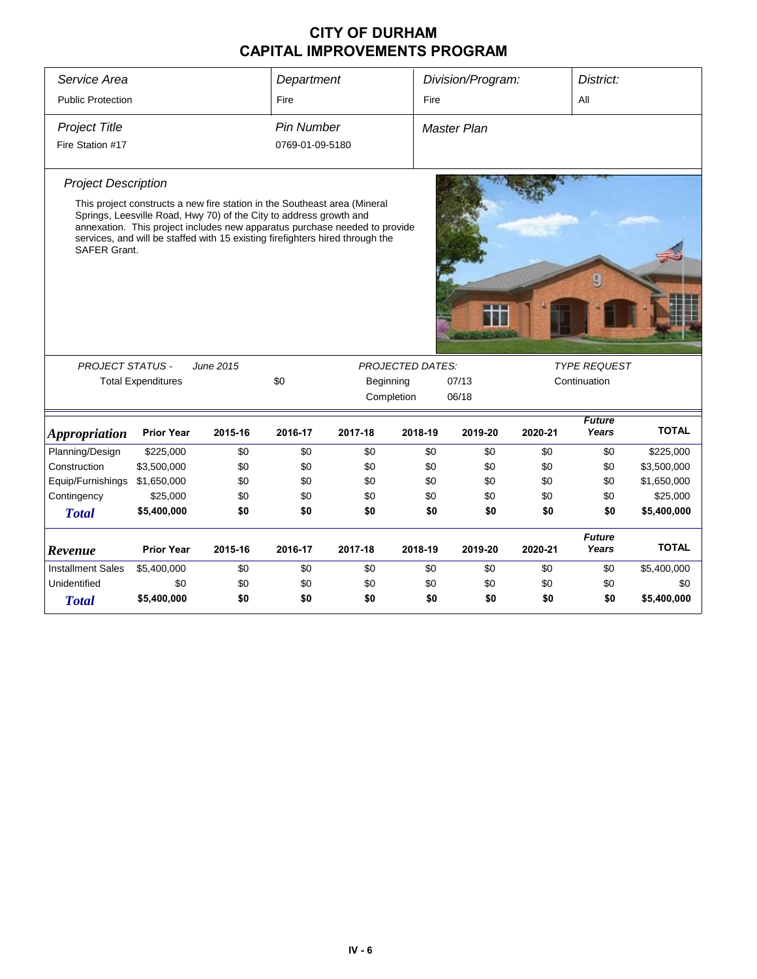| Service Area                |                                                                                                                                                                                                                                                                                                                |           | Department        |            |                         | Division/Program:  |         | District:                           |              |  |  |
|-----------------------------|----------------------------------------------------------------------------------------------------------------------------------------------------------------------------------------------------------------------------------------------------------------------------------------------------------------|-----------|-------------------|------------|-------------------------|--------------------|---------|-------------------------------------|--------------|--|--|
| <b>Public Protection</b>    |                                                                                                                                                                                                                                                                                                                |           | Fire              |            |                         | Fire               |         | All                                 |              |  |  |
| <b>Project Title</b>        |                                                                                                                                                                                                                                                                                                                |           | <b>Pin Number</b> |            |                         | <b>Master Plan</b> |         |                                     |              |  |  |
| Fire Station #17            |                                                                                                                                                                                                                                                                                                                |           | 0769-01-09-5180   |            |                         |                    |         |                                     |              |  |  |
| <b>Project Description</b>  |                                                                                                                                                                                                                                                                                                                |           |                   |            |                         |                    |         |                                     |              |  |  |
| SAFER Grant.                | This project constructs a new fire station in the Southeast area (Mineral<br>Springs, Leesville Road, Hwy 70) of the City to address growth and<br>annexation. This project includes new apparatus purchase needed to provide<br>services, and will be staffed with 15 existing firefighters hired through the |           |                   |            |                         |                    |         |                                     |              |  |  |
|                             |                                                                                                                                                                                                                                                                                                                |           |                   |            |                         |                    |         |                                     |              |  |  |
|                             |                                                                                                                                                                                                                                                                                                                |           |                   |            |                         |                    |         |                                     |              |  |  |
| <b>PROJECT STATUS -</b>     | <b>Total Expenditures</b>                                                                                                                                                                                                                                                                                      | June 2015 | \$0               | Beginning  | <b>PROJECTED DATES:</b> | 07/13              |         | <b>TYPE REQUEST</b><br>Continuation |              |  |  |
|                             |                                                                                                                                                                                                                                                                                                                |           |                   | Completion |                         | 06/18              |         |                                     |              |  |  |
| <i><b>Appropriation</b></i> | <b>Prior Year</b>                                                                                                                                                                                                                                                                                              | 2015-16   | 2016-17           | 2017-18    | 2018-19                 | 2019-20            | 2020-21 | <b>Future</b><br>Years              | <b>TOTAL</b> |  |  |
| Planning/Design             | \$225,000                                                                                                                                                                                                                                                                                                      | \$0       | \$0               | \$0        | \$0                     | \$0                | \$0     | \$0                                 | \$225,000    |  |  |
| Construction                | \$3,500,000                                                                                                                                                                                                                                                                                                    | \$0       | \$0               | \$0        | \$0                     | \$0                | \$0     | \$0                                 | \$3,500,000  |  |  |
| Equip/Furnishings           | \$1,650,000                                                                                                                                                                                                                                                                                                    | \$0       | \$0               | \$0        | \$0                     | \$0                | \$0     | \$0                                 | \$1,650,000  |  |  |
| Contingency                 | \$25,000                                                                                                                                                                                                                                                                                                       | \$0       | \$0               | \$0        | \$0                     | \$0                | \$0     | \$0                                 | \$25,000     |  |  |
| <b>Total</b>                | \$5,400,000                                                                                                                                                                                                                                                                                                    | \$0       | \$0               | \$0        | \$0                     | \$0                | \$0     | \$0                                 | \$5,400,000  |  |  |
| Revenue                     | <b>Prior Year</b>                                                                                                                                                                                                                                                                                              | 2015-16   | 2016-17           | 2017-18    | 2018-19                 | 2019-20            | 2020-21 | <b>Future</b><br>Years              | <b>TOTAL</b> |  |  |
| <b>Installment Sales</b>    | \$5,400,000                                                                                                                                                                                                                                                                                                    | \$0       | \$0               | \$0        | \$0                     | \$0                | \$0     | \$0                                 | \$5,400,000  |  |  |
| Unidentified                | \$0                                                                                                                                                                                                                                                                                                            | \$0       | \$0               | \$0        | \$0                     | \$0                | \$0     | \$0                                 | \$0          |  |  |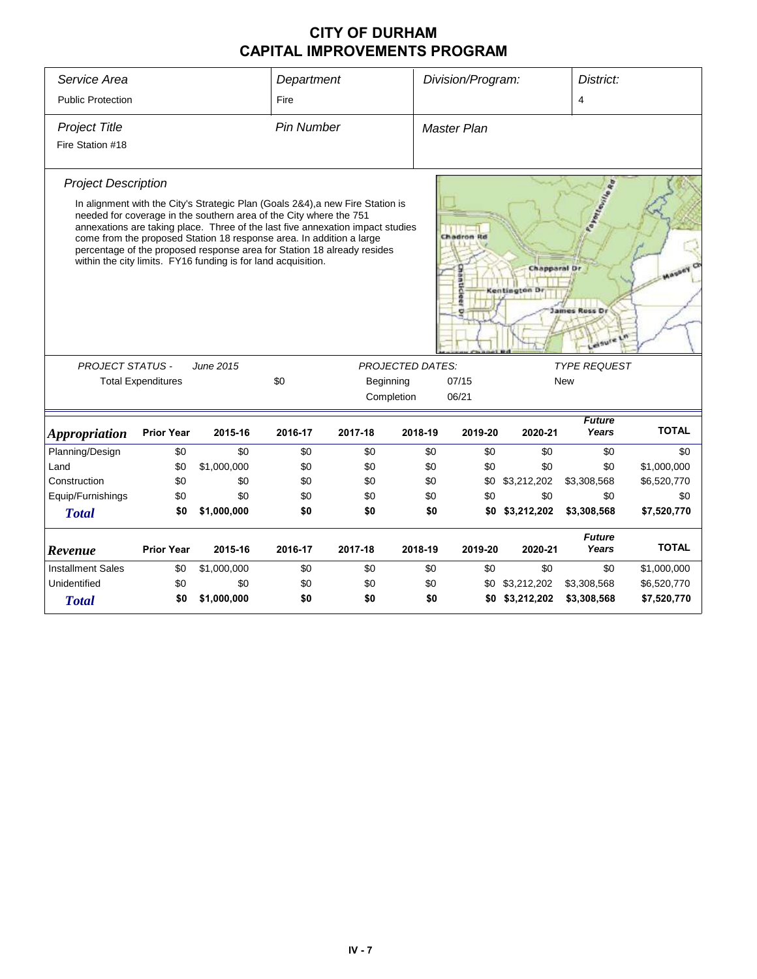| Service Area               |                           |                                                                                                                                                                                                             | Department        |                                                                                                                                                                                                                                             |                         | Division/Program:   |                              | District:                              |              |
|----------------------------|---------------------------|-------------------------------------------------------------------------------------------------------------------------------------------------------------------------------------------------------------|-------------------|---------------------------------------------------------------------------------------------------------------------------------------------------------------------------------------------------------------------------------------------|-------------------------|---------------------|------------------------------|----------------------------------------|--------------|
| <b>Public Protection</b>   |                           |                                                                                                                                                                                                             | Fire              |                                                                                                                                                                                                                                             |                         |                     |                              | 4                                      |              |
| <b>Project Title</b>       |                           |                                                                                                                                                                                                             | <b>Pin Number</b> |                                                                                                                                                                                                                                             |                         | <b>Master Plan</b>  |                              |                                        |              |
| Fire Station #18           |                           |                                                                                                                                                                                                             |                   |                                                                                                                                                                                                                                             |                         |                     |                              |                                        |              |
| <b>Project Description</b> |                           |                                                                                                                                                                                                             |                   |                                                                                                                                                                                                                                             |                         |                     |                              |                                        |              |
|                            |                           | needed for coverage in the southern area of the City where the 751<br>come from the proposed Station 18 response area. In addition a large<br>within the city limits. FY16 funding is for land acquisition. |                   | In alignment with the City's Strategic Plan (Goals 2&4), a new Fire Station is<br>annexations are taking place. Three of the last five annexation impact studies<br>percentage of the proposed response area for Station 18 already resides |                         | Chadron Rd          | Chapparal Dr<br>Kentington D | Fayesterine<br>James Russ Dr<br>elsure |              |
| <b>PROJECT STATUS -</b>    |                           | June 2015                                                                                                                                                                                                   |                   |                                                                                                                                                                                                                                             | <b>PROJECTED DATES:</b> |                     |                              | <b>TYPE REQUEST</b>                    |              |
|                            | <b>Total Expenditures</b> |                                                                                                                                                                                                             | \$0               | Beginning                                                                                                                                                                                                                                   |                         | 07/15<br><b>New</b> |                              |                                        |              |
|                            |                           |                                                                                                                                                                                                             |                   | Completion                                                                                                                                                                                                                                  |                         | 06/21               |                              |                                        |              |
| <b>Appropriation</b>       | <b>Prior Year</b>         | 2015-16                                                                                                                                                                                                     | 2016-17           | 2017-18                                                                                                                                                                                                                                     | 2018-19                 | 2019-20             | 2020-21                      | <b>Future</b><br>Years                 | <b>TOTAL</b> |
| Planning/Design            | \$0                       | \$0                                                                                                                                                                                                         | \$0               | \$0                                                                                                                                                                                                                                         | \$0                     | \$0                 | \$0                          | \$0                                    | \$0          |
| Land                       | \$0                       | \$1,000,000                                                                                                                                                                                                 | \$0               | \$0                                                                                                                                                                                                                                         | \$0                     | \$0                 | \$0                          | \$0                                    | \$1,000,000  |
| Construction               | \$0                       | \$0                                                                                                                                                                                                         | \$0               | \$0                                                                                                                                                                                                                                         | \$0                     | \$0                 | \$3,212,202                  | \$3,308,568                            | \$6,520,770  |
| Equip/Furnishings          | \$0                       | \$0                                                                                                                                                                                                         | \$0               | \$0                                                                                                                                                                                                                                         | \$0                     | \$0                 | \$0                          | \$0                                    | \$0          |
| <b>Total</b>               | \$0                       | \$1,000,000                                                                                                                                                                                                 | \$0               | \$0                                                                                                                                                                                                                                         | \$0                     |                     | \$0 \$3,212,202              | \$3,308,568                            | \$7,520,770  |
| Revenue                    | <b>Prior Year</b>         | 2015-16                                                                                                                                                                                                     | 2016-17           | 2017-18                                                                                                                                                                                                                                     | 2018-19                 | 2019-20             | 2020-21                      | <b>Future</b><br>Years                 | <b>TOTAL</b> |
| <b>Installment Sales</b>   | \$0                       | \$1,000,000                                                                                                                                                                                                 | \$0               | \$0                                                                                                                                                                                                                                         | \$0                     | \$0                 | \$0                          | \$0                                    | \$1,000,000  |
| Unidentified               | \$0                       | \$0                                                                                                                                                                                                         | \$0               | \$0                                                                                                                                                                                                                                         | \$0                     | \$0                 | \$3,212,202                  | \$3,308,568                            | \$6,520,770  |
| <b>Total</b>               | \$0                       | \$1,000,000                                                                                                                                                                                                 | \$0               | \$0                                                                                                                                                                                                                                         | \$0                     |                     | \$0 \$3,212,202              | \$3,308,568                            | \$7,520,770  |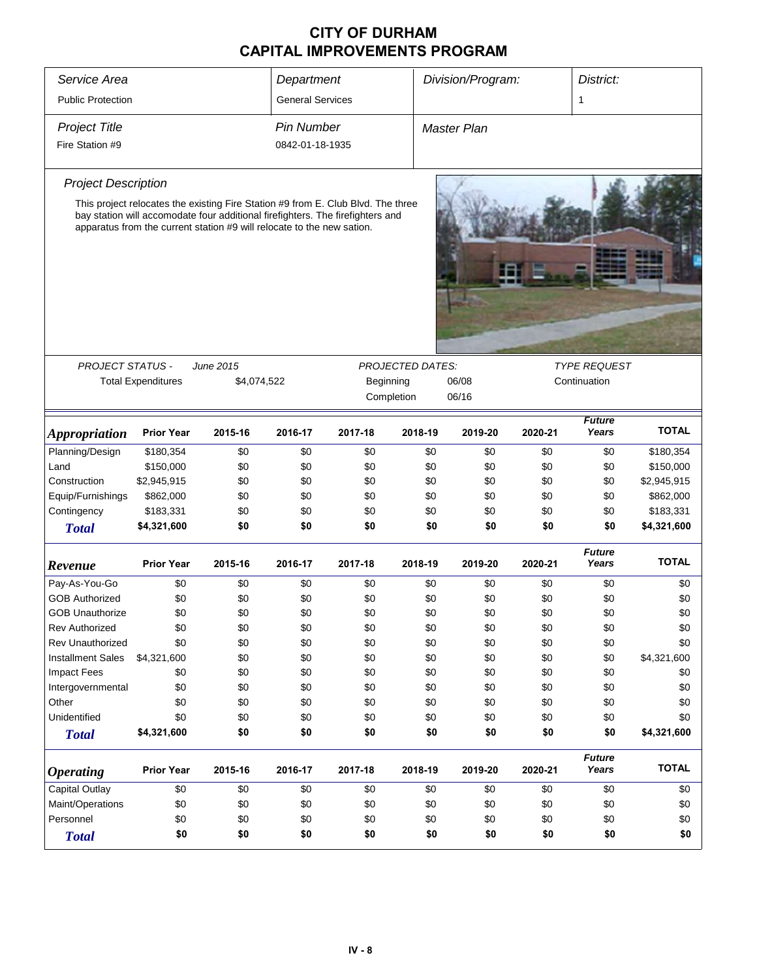| Service Area                |                                                                                                                                                          |             | Division/Program:<br>District:<br>Department |           |                         |                    |              |                        |              |
|-----------------------------|----------------------------------------------------------------------------------------------------------------------------------------------------------|-------------|----------------------------------------------|-----------|-------------------------|--------------------|--------------|------------------------|--------------|
| <b>Public Protection</b>    |                                                                                                                                                          |             | <b>General Services</b>                      |           |                         |                    |              | 1                      |              |
| <b>Project Title</b>        |                                                                                                                                                          |             | <b>Pin Number</b>                            |           |                         | <b>Master Plan</b> |              |                        |              |
| Fire Station #9             |                                                                                                                                                          |             | 0842-01-18-1935                              |           |                         |                    |              |                        |              |
| <b>Project Description</b>  |                                                                                                                                                          |             |                                              |           |                         |                    |              |                        |              |
|                             | This project relocates the existing Fire Station #9 from E. Club Blvd. The three                                                                         |             |                                              |           |                         |                    |              |                        |              |
|                             | bay station will accomodate four additional firefighters. The firefighters and<br>apparatus from the current station #9 will relocate to the new sation. |             |                                              |           |                         |                    |              |                        |              |
|                             |                                                                                                                                                          |             |                                              |           |                         |                    |              |                        |              |
| <b>PROJECT STATUS -</b>     |                                                                                                                                                          | June 2015   |                                              |           | <b>PROJECTED DATES:</b> | 06/08              |              | <b>TYPE REQUEST</b>    |              |
|                             | <b>Total Expenditures</b>                                                                                                                                | \$4,074,522 |                                              | Beginning | Completion              | 06/16              | Continuation |                        |              |
| <i><b>Appropriation</b></i> | <b>Prior Year</b>                                                                                                                                        | 2015-16     | 2016-17                                      | 2017-18   | 2018-19                 | 2019-20            | 2020-21      | <b>Future</b><br>Years | <b>TOTAL</b> |
| Planning/Design             | \$180,354                                                                                                                                                | \$0         | \$0                                          | \$0       | \$0                     | \$0                | \$0          | \$0                    | \$180,354    |
| Land                        | \$150,000                                                                                                                                                | \$0         | \$0                                          | \$0       | \$0                     | \$0                | \$0          | \$0                    | \$150,000    |
| Construction                | \$2,945,915                                                                                                                                              | \$0         | \$0                                          | \$0       | \$0                     | \$0                | \$0          | \$0                    | \$2,945,915  |
| Equip/Furnishings           | \$862,000                                                                                                                                                | \$0         | \$0                                          | \$0       | \$0                     | \$0                | \$0          | \$0                    | \$862,000    |
| Contingency                 | \$183,331                                                                                                                                                | \$0         | \$0                                          | \$0       | \$0                     | \$0                | \$0          | \$0                    | \$183,331    |
| <b>Total</b>                | \$4,321,600                                                                                                                                              | \$0         | \$0                                          | \$0       | \$0                     | \$0                | \$0          | \$0                    | \$4,321,600  |
| Revenue                     | <b>Prior Year</b>                                                                                                                                        | 2015-16     | 2016-17                                      | 2017-18   | 2018-19                 | 2019-20            | 2020-21      | <b>Future</b><br>Years | <b>TOTAL</b> |
| Pay-As-You-Go               | \$0                                                                                                                                                      | \$0         | \$0                                          | \$0       | \$0                     | \$0                | \$0          | \$0                    | \$0          |
| <b>GOB Authorized</b>       | \$0                                                                                                                                                      | \$0         | \$0                                          | \$0       | \$0                     | \$0                | \$0          | \$0                    | \$0          |
| <b>GOB Unauthorize</b>      | \$0                                                                                                                                                      | \$0         | \$0                                          | \$0       | \$0                     | \$0                | \$0          | \$0                    | \$0          |
| <b>Rev Authorized</b>       | \$0                                                                                                                                                      | \$0         | \$0                                          | \$0       | \$0                     | \$0                | \$0          | \$0                    | \$0          |
| <b>Rev Unauthorized</b>     | \$0                                                                                                                                                      | \$0         | \$0                                          | \$0       | \$0                     | \$0                | \$0          | \$0                    | \$0          |
| <b>Installment Sales</b>    | \$4,321,600                                                                                                                                              | \$0         | \$0                                          | \$0       | \$0                     | \$0                | \$0          | \$0                    | \$4,321,600  |
| <b>Impact Fees</b>          | \$0                                                                                                                                                      | \$0         | \$0                                          | \$0       | \$0                     | \$0                | \$0          | \$0                    | \$0          |
| Intergovernmental           | \$0                                                                                                                                                      | \$0         | \$0                                          | \$0       | \$0                     | \$0                | \$0          | \$0                    | \$0          |
| Other                       | \$0                                                                                                                                                      | \$0         | \$0                                          | \$0       | \$0                     | \$0                | \$0          | \$0                    | \$0          |
| Unidentified                | \$0                                                                                                                                                      | \$0         | \$0                                          | \$0       | \$0                     | \$0                | \$0          | \$0                    | \$0          |
| <b>Total</b>                | \$4,321,600                                                                                                                                              | \$0         | \$0                                          | \$0       | \$0                     | \$0                | \$0          | \$0                    | \$4,321,600  |
| <b>Operating</b>            | <b>Prior Year</b>                                                                                                                                        | 2015-16     | 2016-17                                      | 2017-18   | 2018-19                 | 2019-20            | 2020-21      | <b>Future</b><br>Years | <b>TOTAL</b> |
| <b>Capital Outlay</b>       | \$0                                                                                                                                                      | \$0         | \$0                                          | \$0       | \$0                     | \$0                | \$0          | \$0                    | \$0          |
| Maint/Operations            | \$0                                                                                                                                                      | \$0         | \$0                                          | \$0       | \$0                     | \$0                | \$0          | \$0                    | \$0          |
| Personnel                   | \$0                                                                                                                                                      | \$0         | \$0                                          | \$0       | \$0                     | \$0                | \$0          | \$0                    | \$0          |
| <b>Total</b>                | \$0                                                                                                                                                      | \$0         | \$0                                          | \$0       | \$0                     | \$0                | \$0          | \$0                    | \$0          |